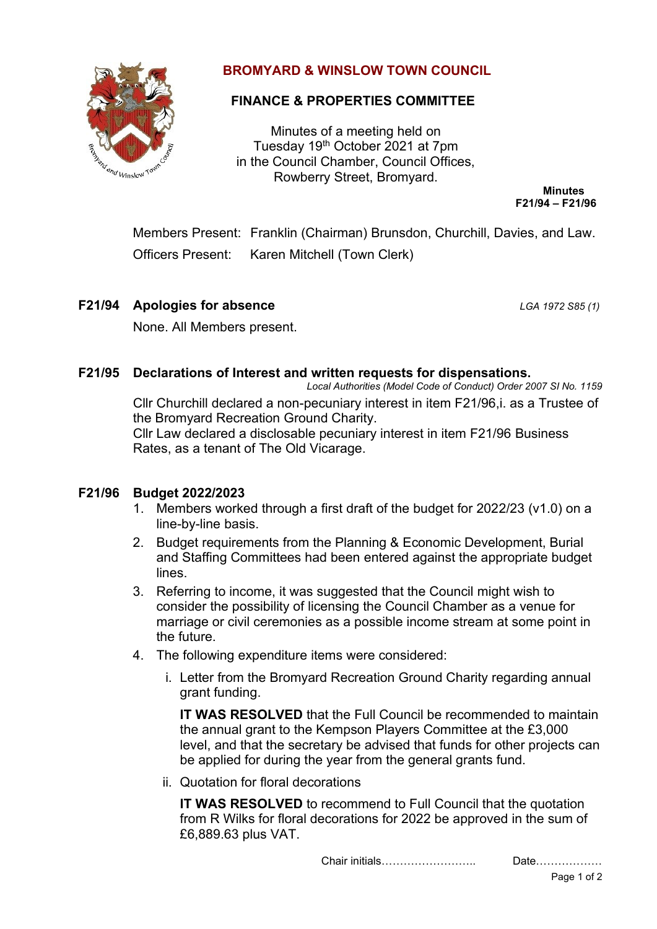

# **BROMYARD & WINSLOW TOWN COUNCIL**

## **FINANCE & PROPERTIES COMMITTEE**

Minutes of a meeting held on Tuesday 19th October 2021 at 7pm in the Council Chamber, Council Offices, Rowberry Street, Bromyard.

**Minutes F21/94 – F21/96**

Members Present: Franklin (Chairman) Brunsdon, Churchill, Davies, and Law. Officers Present: Karen Mitchell (Town Clerk)

**F21/94 Apologies for absence** *LGA 1972 S85 (1)*

None. All Members present.

### **F21/95 Declarations of Interest and written requests for dispensations.**

*Local Authorities (Model Code of Conduct) Order 2007 SI No. 1159* Cllr Churchill declared a non-pecuniary interest in item F21/96,i. as a Trustee of the Bromyard Recreation Ground Charity.

Cllr Law declared a disclosable pecuniary interest in item F21/96 Business Rates, as a tenant of The Old Vicarage.

### **F21/96 Budget 2022/2023**

- 1. Members worked through a first draft of the budget for 2022/23 (v1.0) on a line-by-line basis.
- 2. Budget requirements from the Planning & Economic Development, Burial and Staffing Committees had been entered against the appropriate budget lines.
- 3. Referring to income, it was suggested that the Council might wish to consider the possibility of licensing the Council Chamber as a venue for marriage or civil ceremonies as a possible income stream at some point in the future.
- 4. The following expenditure items were considered:
	- i. Letter from the Bromyard Recreation Ground Charity regarding annual grant funding.

**IT WAS RESOLVED** that the Full Council be recommended to maintain the annual grant to the Kempson Players Committee at the £3,000 level, and that the secretary be advised that funds for other projects can be applied for during the year from the general grants fund.

ii. Quotation for floral decorations

**IT WAS RESOLVED** to recommend to Full Council that the quotation from R Wilks for floral decorations for 2022 be approved in the sum of £6,889.63 plus VAT.

Chair initials…………………….. Date………………